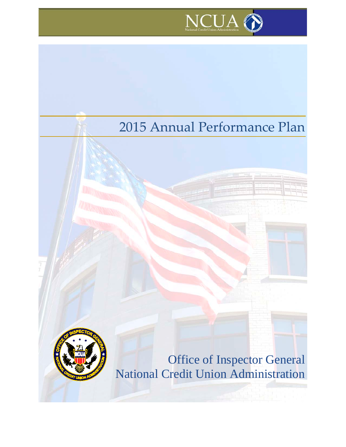

# 2015 Annual Performance Plan

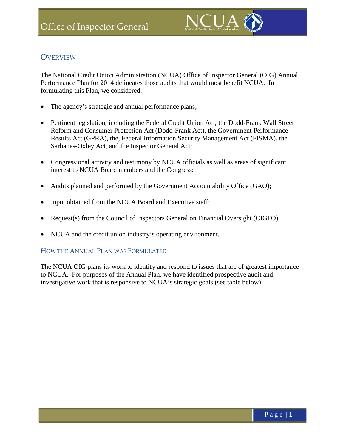

# **OVERVIEW**

The National Credit Union Administration (NCUA) Office of Inspector General (OIG) Annual Performance Plan for 2014 delineates those audits that would most benefit NCUA. In formulating this Plan, we considered:

- The agency's strategic and annual performance plans;
- Pertinent legislation, including the Federal Credit Union Act, the Dodd-Frank Wall Street Reform and Consumer Protection Act (Dodd-Frank Act), the Government Performance Results Act (GPRA), the, Federal Information Security Management Act (FISMA), the Sarbanes-Oxley Act, and the Inspector General Act;
- Congressional activity and testimony by NCUA officials as well as areas of significant interest to NCUA Board members and the Congress;
- Audits planned and performed by the Government Accountability Office (GAO);
- Input obtained from the NCUA Board and Executive staff;
- Request(s) from the Council of Inspectors General on Financial Oversight (CIGFO).
- NCUA and the credit union industry's operating environment.

#### HOW THE ANNUAL PLAN WAS FORMULATED

The NCUA OIG plans its work to identify and respond to issues that are of greatest importance to NCUA. For purposes of the Annual Plan, we have identified prospective audit and investigative work that is responsive to NCUA's strategic goals (see table below).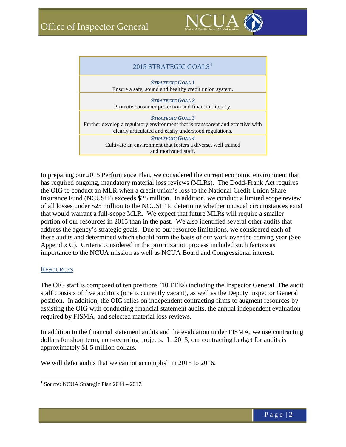

| 2015 STRATEGIC GOALS <sup>1</sup>                                                                                                                                    |
|----------------------------------------------------------------------------------------------------------------------------------------------------------------------|
| <b>STRATEGIC GOAL 1</b><br>Ensure a safe, sound and healthy credit union system.                                                                                     |
| <b>STRATEGIC GOAL 2</b><br>Promote consumer protection and financial literacy.                                                                                       |
| <b>STRATEGIC GOAL 3</b><br>Further develop a regulatory environment that is transparent and effective with<br>clearly articulated and easily understood regulations. |
| <b>STRATEGIC GOAL 4</b><br>Cultivate an environment that fosters a diverse, well trained<br>and motivated staff.                                                     |

In preparing our 2015 Performance Plan, we considered the current economic environment that has required ongoing, mandatory material loss reviews (MLRs). The Dodd-Frank Act requires the OIG to conduct an MLR when a credit union's loss to the National Credit Union Share Insurance Fund (NCUSIF) exceeds \$25 million. In addition, we conduct a limited scope review of all losses under \$25 million to the NCUSIF to determine whether unusual circumstances exist that would warrant a full-scope MLR. We expect that future MLRs will require a smaller portion of our resources in 2015 than in the past. We also identified several other audits that address the agency's strategic goals. Due to our resource limitations, we considered each of these audits and determined which should form the basis of our work over the coming year (See Appendix C). Criteria considered in the prioritization process included such factors as importance to the NCUA mission as well as NCUA Board and Congressional interest.

#### **RESOURCES**

The OIG staff is composed of ten positions (10 FTEs) including the Inspector General. The audit staff consists of five auditors (one is currently vacant), as well as the Deputy Inspector General position. In addition, the OIG relies on independent contracting firms to augment resources by assisting the OIG with conducting financial statement audits, the annual independent evaluation required by FISMA, and selected material loss reviews.

In addition to the financial statement audits and the evaluation under FISMA, we use contracting dollars for short term, non-recurring projects. In 2015, our contracting budget for audits is approximately \$1.5 million dollars.

We will defer audits that we cannot accomplish in 2015 to 2016.

<span id="page-3-0"></span><sup>&</sup>lt;sup>1</sup> Source: NCUA Strategic Plan  $2014 - 2017$ .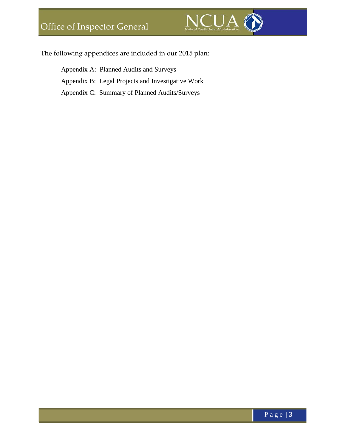

The following appendices are included in our 2015 plan:

Appendix A: Planned Audits and Surveys Appendix B: Legal Projects and Investigative Work Appendix C: Summary of Planned Audits/Surveys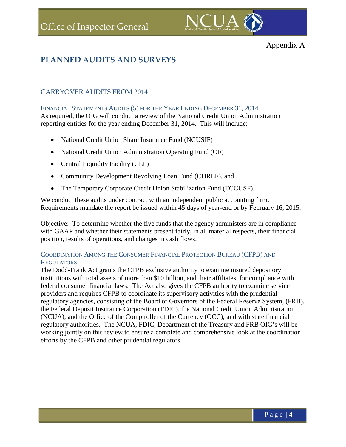

# **PLANNED AUDITS AND SURVEYS**

# CARRYOVER AUDITS FROM 2014

FINANCIAL STATEMENTS AUDITS (5) FOR THE YEAR ENDING DECEMBER 31, 2014 As required, the OIG will conduct a review of the National Credit Union Administration

reporting entities for the year ending December 31, 2014. This will include:

- National Credit Union Share Insurance Fund (NCUSIF)
- National Credit Union Administration Operating Fund (OF)
- Central Liquidity Facility (CLF)
- Community Development Revolving Loan Fund (CDRLF), and
- The Temporary Corporate Credit Union Stabilization Fund (TCCUSF).

We conduct these audits under contract with an independent public accounting firm. Requirements mandate the report be issued within 45 days of year-end or by February 16, 2015.

Objective: To determine whether the five funds that the agency administers are in compliance with GAAP and whether their statements present fairly, in all material respects, their financial position, results of operations, and changes in cash flows.

### COORDINATION AMONG THE CONSUMER FINANCIAL PROTECTION BUREAU (CFPB) AND REGULATORS

The Dodd-Frank Act grants the CFPB exclusive authority to examine insured depository institutions with total assets of more than \$10 billion, and their affiliates, for compliance with federal consumer financial laws. The Act also gives the CFPB authority to examine service providers and requires CFPB to coordinate its supervisory activities with the prudential regulatory agencies, consisting of the Board of Governors of the Federal Reserve System, (FRB), the Federal Deposit Insurance Corporation (FDIC), the National Credit Union Administration (NCUA), and the Office of the Comptroller of the Currency (OCC), and with state financial regulatory authorities. The NCUA, FDIC, Department of the Treasury and FRB OIG's will be working jointly on this review to ensure a complete and comprehensive look at the coordination efforts by the CFPB and other prudential regulators.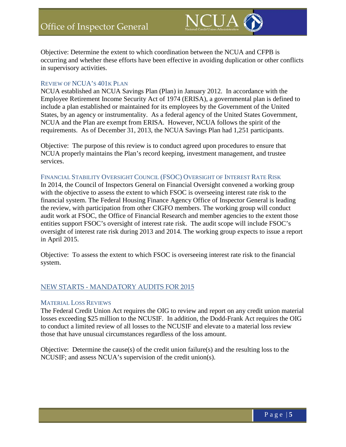

Objective: Determine the extent to which coordination between the NCUA and CFPB is occurring and whether these efforts have been effective in avoiding duplication or other conflicts in supervisory activities.

#### REVIEW OF NCUA'S 401K PLAN

NCUA established an NCUA Savings Plan (Plan) in January 2012. In accordance with the Employee Retirement Income Security Act of 1974 (ERISA), a governmental plan is defined to include a plan established or maintained for its employees by the Government of the United States, by an agency or instrumentality. As a federal agency of the United States Government, NCUA and the Plan are exempt from ERISA. However, NCUA follows the spirit of the requirements. As of December 31, 2013, the NCUA Savings Plan had 1,251 participants.

Objective: The purpose of this review is to conduct agreed upon procedures to ensure that NCUA properly maintains the Plan's record keeping, investment management, and trustee services.

#### FINANCIAL STABILITY OVERSIGHT COUNCIL (FSOC) OVERSIGHT OF INTEREST RATE RISK

In 2014, the Council of Inspectors General on Financial Oversight convened a working group with the objective to assess the extent to which FSOC is overseeing interest rate risk to the financial system. The Federal Housing Finance Agency Office of Inspector General is leading the review, with participation from other CIGFO members. The working group will conduct audit work at FSOC, the Office of Financial Research and member agencies to the extent those entities support FSOC's oversight of interest rate risk. The audit scope will include FSOC's oversight of interest rate risk during 2013 and 2014. The working group expects to issue a report in April 2015.

Objective: To assess the extent to which FSOC is overseeing interest rate risk to the financial system.

#### NEW STARTS - MANDATORY AUDITS FOR 2015

#### MATERIAL LOSS REVIEWS

The Federal Credit Union Act requires the OIG to review and report on any credit union material losses exceeding \$25 million to the NCUSIF. In addition, the Dodd-Frank Act requires the OIG to conduct a limited review of all losses to the NCUSIF and elevate to a material loss review those that have unusual circumstances regardless of the loss amount.

Objective: Determine the cause(s) of the credit union failure(s) and the resulting loss to the NCUSIF; and assess NCUA's supervision of the credit union(s).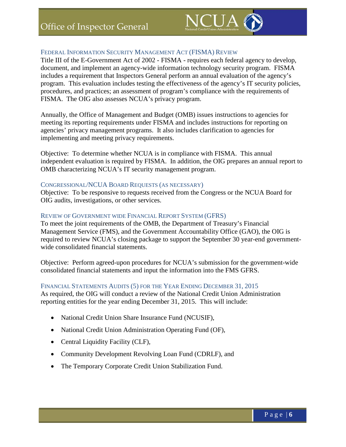

#### FEDERAL INFORMATION SECURITY MANAGEMENT ACT (FISMA) REVIEW

Title III of the E-Government Act of 2002 - FISMA - requires each federal agency to develop, document, and implement an agency-wide information technology security program. FISMA includes a requirement that Inspectors General perform an annual evaluation of the agency's program. This evaluation includes testing the effectiveness of the agency's IT security policies, procedures, and practices; an assessment of program's compliance with the requirements of FISMA. The OIG also assesses NCUA's privacy program.

Annually, the Office of Management and Budget (OMB) issues instructions to agencies for meeting its reporting requirements under FISMA and includes instructions for reporting on agencies' privacy management programs. It also includes clarification to agencies for implementing and meeting privacy requirements.

Objective: To determine whether NCUA is in compliance with FISMA. This annual independent evaluation is required by FISMA. In addition, the OIG prepares an annual report to OMB characterizing NCUA's IT security management program.

#### CONGRESSIONAL/NCUA BOARD REQUESTS (AS NECESSARY)

Objective: To be responsive to requests received from the Congress or the NCUA Board for OIG audits, investigations, or other services.

#### REVIEW OF GOVERNMENT WIDE FINANCIAL REPORT SYSTEM (GFRS)

To meet the joint requirements of the OMB, the Department of Treasury's Financial Management Service (FMS), and the Government Accountability Office (GAO), the OIG is required to review NCUA's closing package to support the September 30 year-end governmentwide consolidated financial statements.

Objective: Perform agreed-upon procedures for NCUA's submission for the government-wide consolidated financial statements and input the information into the FMS GFRS.

#### FINANCIAL STATEMENTS AUDITS (5) FOR THE YEAR ENDING DECEMBER 31, 2015

As required, the OIG will conduct a review of the National Credit Union Administration reporting entities for the year ending December 31, 2015. This will include:

- National Credit Union Share Insurance Fund (NCUSIF),
- National Credit Union Administration Operating Fund (OF),
- Central Liquidity Facility (CLF),
- Community Development Revolving Loan Fund (CDRLF), and
- The Temporary Corporate Credit Union Stabilization Fund.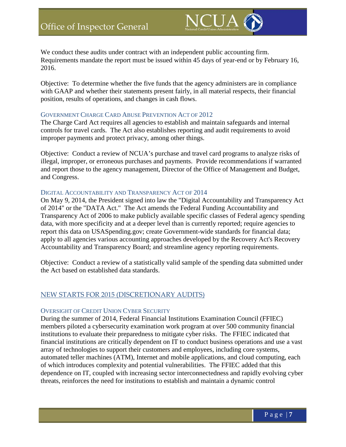

We conduct these audits under contract with an independent public accounting firm. Requirements mandate the report must be issued within 45 days of year-end or by February 16, 2016.

Objective: To determine whether the five funds that the agency administers are in compliance with GAAP and whether their statements present fairly, in all material respects, their financial position, results of operations, and changes in cash flows.

#### GOVERNMENT CHARGE CARD ABUSE PREVENTION ACT OF 2012

The Charge Card Act requires all agencies to establish and maintain safeguards and internal controls for travel cards. The Act also establishes reporting and audit requirements to avoid improper payments and protect privacy, among other things.

Objective: Conduct a review of NCUA's purchase and travel card programs to analyze risks of illegal, improper, or erroneous purchases and payments. Provide recommendations if warranted and report those to the agency management, Director of the Office of Management and Budget, and Congress.

#### DIGITAL ACCOUNTABILITY AND TRANSPARENCY ACT OF 2014

On May 9, 2014, the President signed into law the "Digital Accountability and Transparency Act of 2014" or the "DATA Act." The Act amends the Federal Funding Accountability and Transparency Act of 2006 to make publicly available specific classes of Federal agency spending data, with more specificity and at a deeper level than is currently reported; require agencies to report this data on USASpending.gov; create Government-wide standards for financial data; apply to all agencies various accounting approaches developed by the Recovery Act's Recovery Accountability and Transparency Board; and streamline agency reporting requirements.

Objective: Conduct a review of a statistically valid sample of the spending data submitted under the Act based on established data standards.

#### NEW STARTS FOR 2015 (DISCRETIONARY AUDITS)

#### OVERSIGHT OF CREDIT UNION CYBER SECURITY

During the summer of 2014, Federal Financial Institutions Examination Council (FFIEC) members piloted a cybersecurity examination work program at over 500 community financial institutions to evaluate their preparedness to mitigate cyber risks. The FFIEC indicated that financial institutions are critically dependent on IT to conduct business operations and use a vast array of technologies to support their customers and employees, including core systems, automated teller machines (ATM), Internet and mobile applications, and cloud computing, each of which introduces complexity and potential vulnerabilities. The FFIEC added that this dependence on IT, coupled with increasing sector interconnectedness and rapidly evolving cyber threats, reinforces the need for institutions to establish and maintain a dynamic control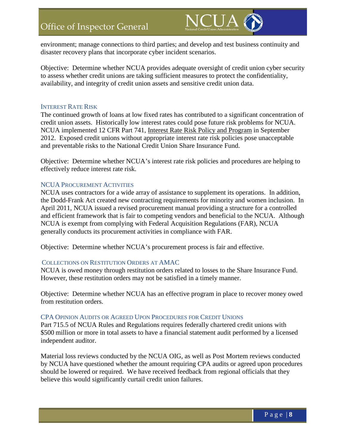

environment; manage connections to third parties; and develop and test business continuity and disaster recovery plans that incorporate cyber incident scenarios.

Objective: Determine whether NCUA provides adequate oversight of credit union cyber security to assess whether credit unions are taking sufficient measures to protect the confidentiality, availability, and integrity of credit union assets and sensitive credit union data.

#### INTEREST RATE RISK

The continued growth of loans at low fixed rates has contributed to a significant concentration of credit union assets. Historically low interest rates could pose future risk problems for NCUA. NCUA implemented 12 CFR Part 741, Interest Rate Risk Policy and Program in September 2012. Exposed credit unions without appropriate interest rate risk policies pose unacceptable and preventable risks to the National Credit Union Share Insurance Fund.

Objective: Determine whether NCUA's interest rate risk policies and procedures are helping to effectively reduce interest rate risk.

#### NCUA PROCUREMENT ACTIVITIES

NCUA uses contractors for a wide array of assistance to supplement its operations. In addition, the Dodd-Frank Act created new contracting requirements for minority and women inclusion. In April 2011, NCUA issued a revised procurement manual providing a structure for a controlled and efficient framework that is fair to competing vendors and beneficial to the NCUA. Although NCUA is exempt from complying with Federal Acquisition Regulations (FAR), NCUA generally conducts its procurement activities in compliance with FAR.

Objective: Determine whether NCUA's procurement process is fair and effective.

#### COLLECTIONS ON RESTITUTION ORDERS AT AMAC

NCUA is owed money through restitution orders related to losses to the Share Insurance Fund. However, these restitution orders may not be satisfied in a timely manner.

Objective: Determine whether NCUA has an effective program in place to recover money owed from restitution orders.

#### CPA OPINION AUDITS OR AGREED UPON PROCEDURES FOR CREDIT UNIONS

Part 715.5 of NCUA Rules and Regulations requires federally chartered credit unions with \$500 million or more in total assets to have a financial statement audit performed by a licensed independent auditor.

Material loss reviews conducted by the NCUA OIG, as well as Post Mortem reviews conducted by NCUA have questioned whether the amount requiring CPA audits or agreed upon procedures should be lowered or required. We have received feedback from regional officials that they believe this would significantly curtail credit union failures.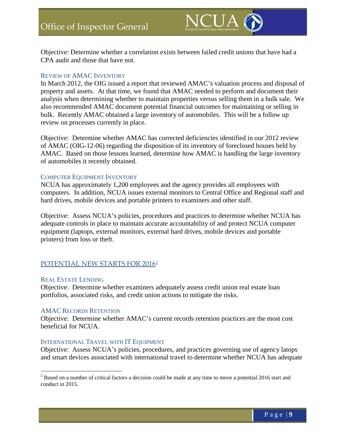

Objective: Determine whether a correlation exists between failed credit unions that have had a CPA audit and those that have not.

#### REVIEW OF AMAC INVENTORY

In March 2012, the OIG issued a report that reviewed AMAC's valuation process and disposal of property and assets. At that time, we found that AMAC needed to perform and document their analysis when determining whether to maintain properties versus selling them in a bulk sale. We also recommended AMAC document potential financial outcomes for maintaining or selling in bulk. Recently AMAC obtained a large inventory of automobiles. This will be a follow up review on processes currently in place.

Objective: Determine whether AMAC has corrected deficiencies identified in our 2012 review of AMAC (OIG-12-06) regarding the disposition of its inventory of foreclosed houses held by AMAC. Based on those lessons learned, determine how AMAC is handling the large inventory of automobiles it recently obtained.

#### COMPUTER EQUIPMENT INVENTORY

NCUA has approximately 1,200 employees and the agency provides all employees with computers. In addition, NCUA issues external monitors to Central Office and Regional staff and hard drives, mobile devices and portable printers to examiners and other staff.

Objective: Assess NCUA's policies, procedures and practices to determine whether NCUA has adequate controls in place to maintain accurate accountability of and protect NCUA computer equipment (laptops, external monitors, external hard drives, mobile devices and portable printers) from loss or theft.

### POTENTIAL NEW STARTS FOR [2](#page-10-0)016<sup>2</sup>

#### REAL ESTATE LENDING

Objective: Determine whether examiners adequately assess credit union real estate loan portfolios, associated risks, and credit union actions to mitigate the risks.

#### AMAC RECORDS RETENTION

Objective: Determine whether AMAC's current records retention practices are the most cost beneficial for NCUA.

#### INTERNATIONAL TRAVEL WITH IT EQUIPMENT

Objective: Assess NCUA's policies, procedures, and practices governing use of agency latops and smart devices associated with international travel to determine whether NCUA has adequate

<span id="page-10-0"></span><sup>&</sup>lt;sup>2</sup> Based on a number of critical factors a decision could be made at any time to move a potential 2016 start and conduct in 2015.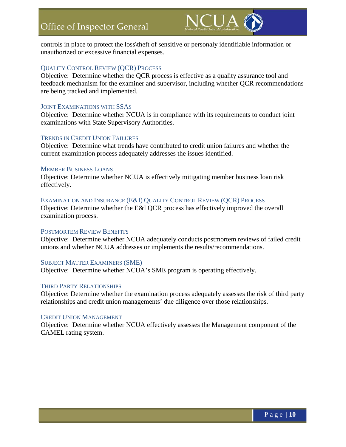

controls in place to protect the loss\theft of sensitive or personaly identifiable information or unauthorized or excessive financial expenses.

#### QUALITY CONTROL REVIEW (QCR) PROCESS

Objective: Determine whether the QCR process is effective as a quality assurance tool and feedback mechanism for the examiner and supervisor, including whether QCR recommendations are being tracked and implemented.

#### JOINT EXAMINATIONS WITH SSAS

Objective: Determine whether NCUA is in compliance with its requirements to conduct joint examinations with State Supervisory Authorities.

#### TRENDS IN CREDIT UNION FAILURES

Objective: Determine what trends have contributed to credit union failures and whether the current examination process adequately addresses the issues identified.

#### MEMBER BUSINESS LOANS

Objective: Determine whether NCUA is effectively mitigating member business loan risk effectively.

#### EXAMINATION AND INSURANCE (E&I) QUALITY CONTROL REVIEW (QCR) PROCESS

Objective: Determine whether the E&I QCR process has effectively improved the overall examination process.

#### POSTMORTEM REVIEW BENEFITS

Objective: Determine whether NCUA adequately conducts postmortem reviews of failed credit unions and whether NCUA addresses or implements the results/recommendations.

#### SUBJECT MATTER EXAMINERS (SME)

Objective: Determine whether NCUA's SME program is operating effectively.

#### THIRD PARTY RELATIONSHIPS

Objective: Determine whether the examination process adequately assesses the risk of third party relationships and credit union managements' due diligence over those relationships.

#### CREDIT UNION MANAGEMENT

Objective: Determine whether NCUA effectively assesses the Management component of the CAMEL rating system.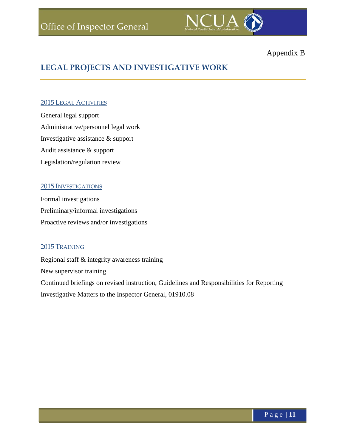

# Appendix B

# **LEGAL PROJECTS AND INVESTIGATIVE WORK**

#### 2015 LEGAL ACTIVITIES

General legal support Administrative/personnel legal work Investigative assistance & support Audit assistance & support Legislation/regulation review

#### 2015 INVESTIGATIONS

Formal investigations Preliminary/informal investigations Proactive reviews and/or investigations

### 2015 TRAINING

Regional staff & integrity awareness training New supervisor training Continued briefings on revised instruction, Guidelines and Responsibilities for Reporting Investigative Matters to the Inspector General, 01910.08

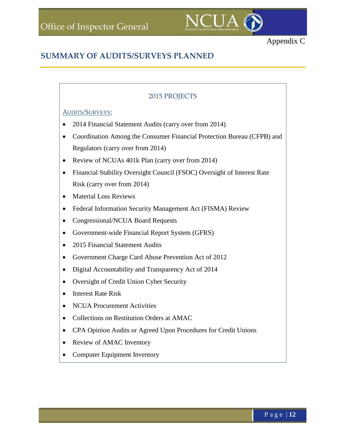

# **SUMMARY OF AUDITS/SURVEYS PLANNED**

## 2015 PROJECTS

#### AUDITS/SURVEYS:

- 2014 Financial Statement Audits (carry over from 2014)
- Coordination Among the Consumer Financial Protection Bureau (CFPB) and Regulators (carry over from 2014)
- Review of NCUAs 401k Plan (carry over from 2014)
- Financial Stability Oversight Council (FSOC) Oversight of Interest Rate Risk (carry over from 2014)
- Material Loss Reviews
- Federal Information Security Management Act (FISMA) Review
- Congressional/NCUA Board Requests
- Government-wide Financial Report System (GFRS)
- 2015 Financial Statement Audits
- Government Charge Card Abuse Prevention Act of 2012
- Digital Accountability and Transparency Act of 2014
- Oversight of Credit Union Cyber Security
- Interest Rate Risk
- NCUA Procurement Activities
- Collections on Restitution Orders at AMAC
- CPA Opinion Audits or Agreed Upon Procedures for Credit Unions
- Review of AMAC Inventory
- Computer Equipment Inventory